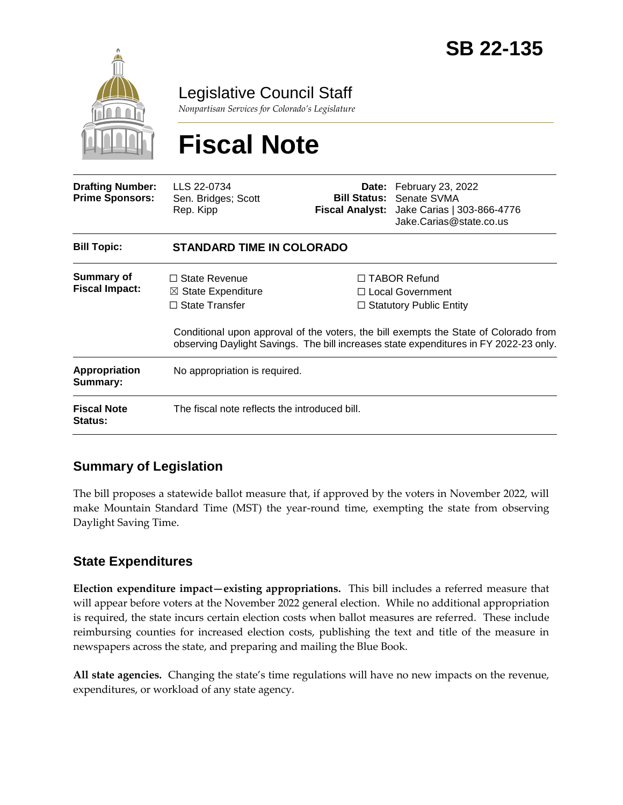

Legislative Council Staff

*Nonpartisan Services for Colorado's Legislature*

# **Fiscal Note**

| <b>Drafting Number:</b><br><b>Prime Sponsors:</b> | LLS 22-0734<br>Sen. Bridges; Scott<br>Rep. Kipp                                |  | <b>Date:</b> February 23, 2022<br><b>Bill Status: Senate SVMA</b><br>Fiscal Analyst: Jake Carias   303-866-4776<br>Jake.Carias@state.co.us                                                                                                                        |  |
|---------------------------------------------------|--------------------------------------------------------------------------------|--|-------------------------------------------------------------------------------------------------------------------------------------------------------------------------------------------------------------------------------------------------------------------|--|
| <b>Bill Topic:</b>                                | <b>STANDARD TIME IN COLORADO</b>                                               |  |                                                                                                                                                                                                                                                                   |  |
| Summary of<br><b>Fiscal Impact:</b>               | $\Box$ State Revenue<br>$\boxtimes$ State Expenditure<br>$\Box$ State Transfer |  | $\Box$ TABOR Refund<br>$\Box$ Local Government<br>$\Box$ Statutory Public Entity<br>Conditional upon approval of the voters, the bill exempts the State of Colorado from<br>observing Daylight Savings. The bill increases state expenditures in FY 2022-23 only. |  |
| <b>Appropriation</b><br>Summary:                  | No appropriation is required.                                                  |  |                                                                                                                                                                                                                                                                   |  |
| <b>Fiscal Note</b><br>Status:                     | The fiscal note reflects the introduced bill.                                  |  |                                                                                                                                                                                                                                                                   |  |

## **Summary of Legislation**

The bill proposes a statewide ballot measure that, if approved by the voters in November 2022, will make Mountain Standard Time (MST) the year-round time, exempting the state from observing Daylight Saving Time.

## **State Expenditures**

**Election expenditure impact—existing appropriations.** This bill includes a referred measure that will appear before voters at the November 2022 general election. While no additional appropriation is required, the state incurs certain election costs when ballot measures are referred. These include reimbursing counties for increased election costs, publishing the text and title of the measure in newspapers across the state, and preparing and mailing the Blue Book.

**All state agencies.** Changing the state's time regulations will have no new impacts on the revenue, expenditures, or workload of any state agency.